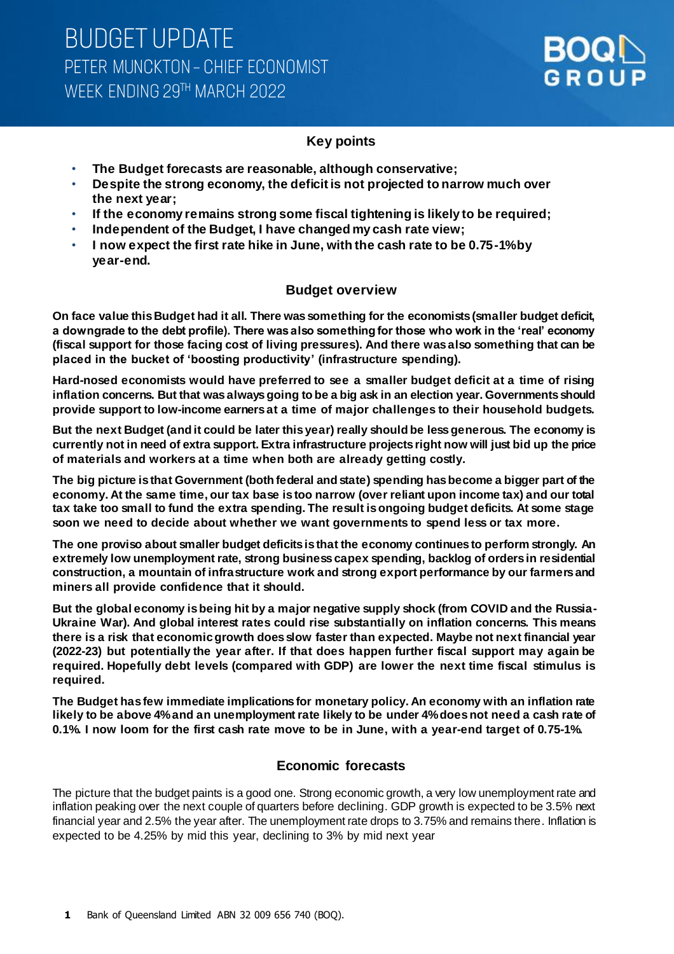

### **Key points**

- **The Budget forecasts are reasonable, although conservative;**
- **Despite the strong economy, the deficit is not projected to narrow much over the next year;**
- **If the economy remains strong some fiscal tightening is likely to be required;**
- **Independent of the Budget, I have changed my cash rate view;**
- **I now expect the first rate hike in June, with the cash rate to be 0.75-1% by year-end.**

#### **Budget overview**

**On face value this Budget had it all. There was something for the economists (smaller budget deficit, a downgrade to the debt profile). There was also something for those who work in the 'real' economy (fiscal support for those facing cost of living pressures). And there was also something that can be placed in the bucket of 'boosting productivity' (infrastructure spending).**

**Hard-nosed economists would have preferred to see a smaller budget deficit at a time of rising inflation concerns. But that was always going to be a big ask in an election year. Governments should provide support to low-income earners at a time of major challenges to their household budgets.**

**But the next Budget (and it could be later this year) really should be less generous. The economy is currently not in need of extra support. Extra infrastructure projects right now will just bid up the price of materials and workers at a time when both are already getting costly.** 

**The big picture is that Government (both federal and state) spending has become a bigger part of the economy. At the same time, our tax base is too narrow (over reliant upon income tax) and our total tax take too small to fund the extra spending. The result is ongoing budget deficits. At some stage soon we need to decide about whether we want governments to spend less or tax more.**

**The one proviso about smaller budget deficits is that the economy continues to perform strongly. An extremely low unemployment rate, strong business capex spending, backlog of orders in residential construction, a mountain of infrastructure work and strong export performance by our farmers and miners all provide confidence that it should.** 

**But the global economy is being hit by a major negative supply shock (from COVID and the Russia-Ukraine War). And global interest rates could rise substantially on inflation concerns. This means there is a risk that economic growth does slow faster than expected. Maybe not next financial year (2022-23) but potentially the year after. If that does happen further fiscal support may again be required. Hopefully debt levels (compared with GDP) are lower the next time fiscal stimulus is required.**

**The Budget has few immediate implications for monetary policy. An economy with an inflation rate likely to be above 4% and an unemployment rate likely to be under 4% does not need a cash rate of 0.1%. I now loom for the first cash rate move to be in June, with a year-end target of 0.75-1%.**

#### **Economic forecasts**

The picture that the budget paints is a good one. Strong economic growth, a very low unemployment rate and inflation peaking over the next couple of quarters before declining. GDP growth is expected to be 3.5% next financial year and 2.5% the year after. The unemployment rate drops to 3.75% and remains there. Inflation is expected to be 4.25% by mid this year, declining to 3% by mid next year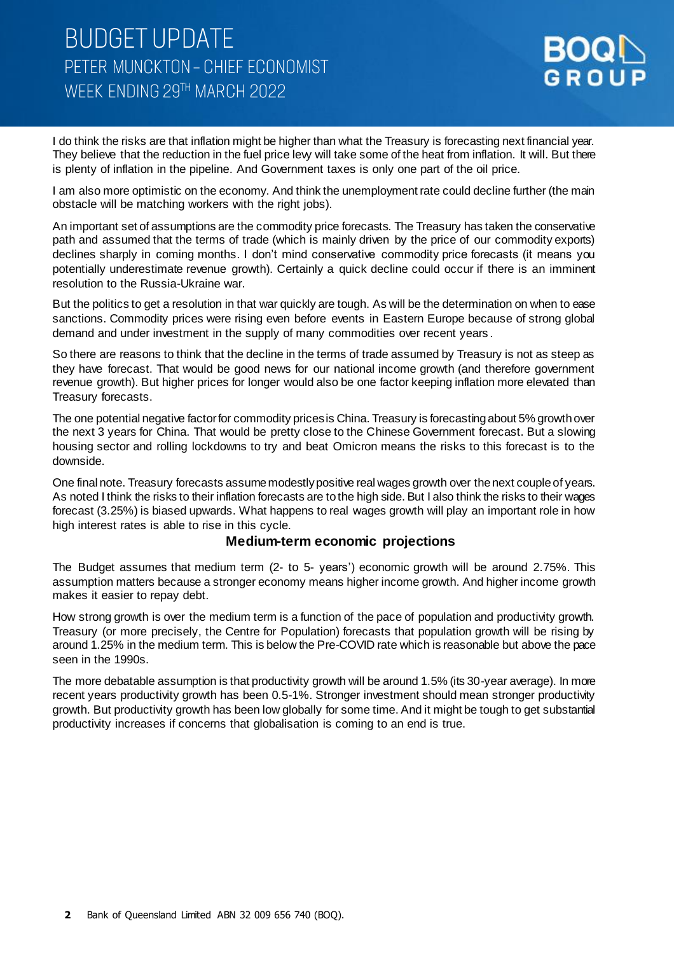

I do think the risks are that inflation might be higher than what the Treasury is forecasting next financial year. They believe that the reduction in the fuel price levy will take some of the heat from inflation. It will. But there is plenty of inflation in the pipeline. And Government taxes is only one part of the oil price.

I am also more optimistic on the economy. And think the unemployment rate could decline further (the main obstacle will be matching workers with the right jobs).

An important set of assumptions are the commodity price forecasts. The Treasury has taken the conservative path and assumed that the terms of trade (which is mainly driven by the price of our commodity exports) declines sharply in coming months. I don't mind conservative commodity price forecasts (it means you potentially underestimate revenue growth). Certainly a quick decline could occur if there is an imminent resolution to the Russia-Ukraine war.

But the politics to get a resolution in that war quickly are tough. As will be the determination on when to ease sanctions. Commodity prices were rising even before events in Eastern Europe because of strong global demand and under investment in the supply of many commodities over recent years .

So there are reasons to think that the decline in the terms of trade assumed by Treasury is not as steep as they have forecast. That would be good news for our national income growth (and therefore government revenue growth). But higher prices for longer would also be one factor keeping inflation more elevated than Treasury forecasts.

The one potential negative factor for commodity prices is China. Treasury is forecasting about 5% growth over the next 3 years for China. That would be pretty close to the Chinese Government forecast. But a slowing housing sector and rolling lockdowns to try and beat Omicron means the risks to this forecast is to the downside.

One final note. Treasury forecasts assume modestly positive real wages growth over the next couple of years. As noted I think the risks to their inflation forecasts are to the high side. But I also think the risks to their wages forecast (3.25%) is biased upwards. What happens to real wages growth will play an important role in how high interest rates is able to rise in this cycle.

#### **Medium-term economic projections**

The Budget assumes that medium term (2- to 5- years') economic growth will be around 2.75%. This assumption matters because a stronger economy means higher income growth. And higher income growth makes it easier to repay debt.

How strong growth is over the medium term is a function of the pace of population and productivity growth. Treasury (or more precisely, the Centre for Population) forecasts that population growth will be rising by around 1.25% in the medium term. This is below the Pre-COVID rate which is reasonable but above the pace seen in the 1990s.

The more debatable assumption is that productivity growth will be around 1.5% (its 30-year average). In more recent years productivity growth has been 0.5-1%. Stronger investment should mean stronger productivity growth. But productivity growth has been low globally for some time. And it might be tough to get substantial productivity increases if concerns that globalisation is coming to an end is true.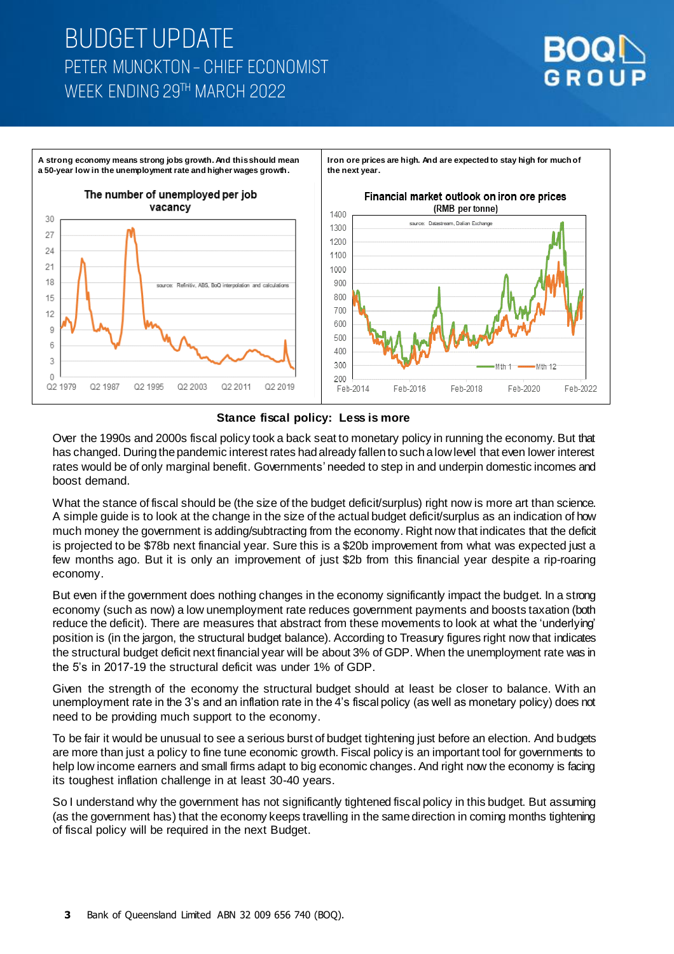





Over the 1990s and 2000s fiscal policy took a back seat to monetary policy in running the economy. But that has changed. During the pandemic interest rates had already fallen to such a low level that even lower interest rates would be of only marginal benefit. Governments' needed to step in and underpin domestic incomes and boost demand.

What the stance of fiscal should be (the size of the budget deficit/surplus) right now is more art than science. A simple guide is to look at the change in the size of the actual budget deficit/surplus as an indication of how much money the government is adding/subtracting from the economy. Right now that indicates that the deficit is projected to be \$78b next financial year. Sure this is a \$20b improvement from what was expected just a few months ago. But it is only an improvement of just \$2b from this financial year despite a rip-roaring economy.

But even if the government does nothing changes in the economy significantly impact the budget. In a strong economy (such as now) a low unemployment rate reduces government payments and boosts taxation (both reduce the deficit). There are measures that abstract from these movements to look at what the 'underlying' position is (in the jargon, the structural budget balance). According to Treasury figures right now that indicates the structural budget deficit next financial year will be about 3% of GDP. When the unemployment rate was in the 5's in 2017-19 the structural deficit was under 1% of GDP.

Given the strength of the economy the structural budget should at least be closer to balance. With an unemployment rate in the 3's and an inflation rate in the 4's fiscal policy (as well as monetary policy) does not need to be providing much support to the economy.

To be fair it would be unusual to see a serious burst of budget tightening just before an election. And budgets are more than just a policy to fine tune economic growth. Fiscal policy is an important tool for governments to help low income earners and small firms adapt to big economic changes. And right now the economy is facing its toughest inflation challenge in at least 30-40 years.

So I understand why the government has not significantly tightened fiscal policy in this budget. But assuming (as the government has) that the economy keeps travelling in the same direction in coming months tightening of fiscal policy will be required in the next Budget.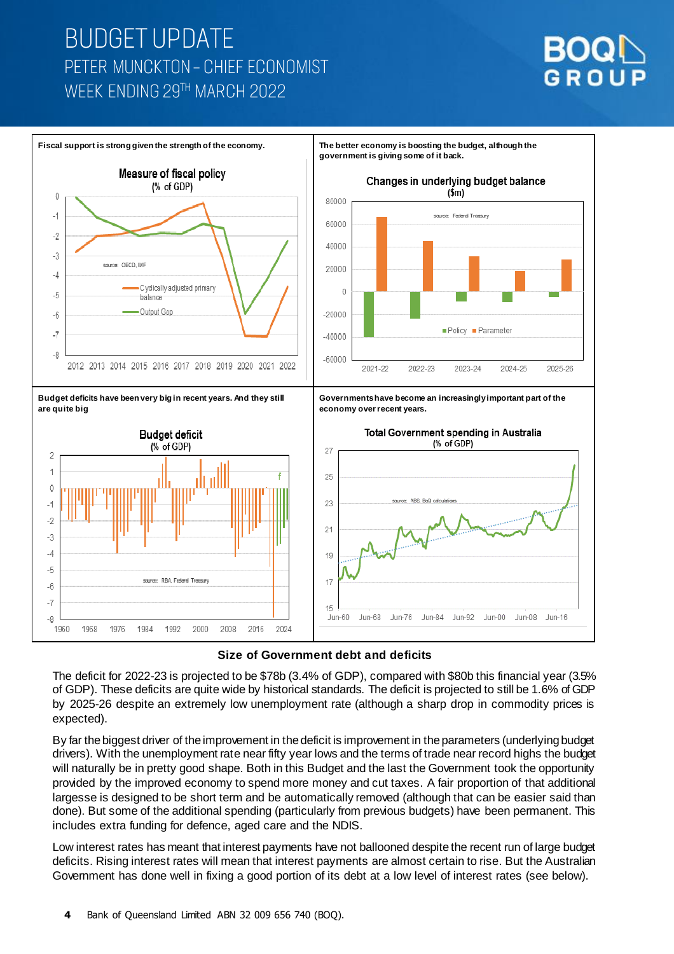





The deficit for 2022-23 is projected to be \$78b (3.4% of GDP), compared with \$80b this financial year (3.5% of GDP). These deficits are quite wide by historical standards. The deficit is projected to still be 1.6% of GDP by 2025-26 despite an extremely low unemployment rate (although a sharp drop in commodity prices is expected).

By far the biggest driver of the improvement in the deficit is improvement in the parameters (underlying budget drivers). With the unemployment rate near fifty year lows and the terms of trade near record highs the budget will naturally be in pretty good shape. Both in this Budget and the last the Government took the opportunity provided by the improved economy to spend more money and cut taxes. A fair proportion of that additional largesse is designed to be short term and be automatically removed (although that can be easier said than done). But some of the additional spending (particularly from previous budgets) have been permanent. This includes extra funding for defence, aged care and the NDIS.

Low interest rates has meant that interest payments have not ballooned despite the recent run of large budget deficits. Rising interest rates will mean that interest payments are almost certain to rise. But the Australian Government has done well in fixing a good portion of its debt at a low level of interest rates (see below).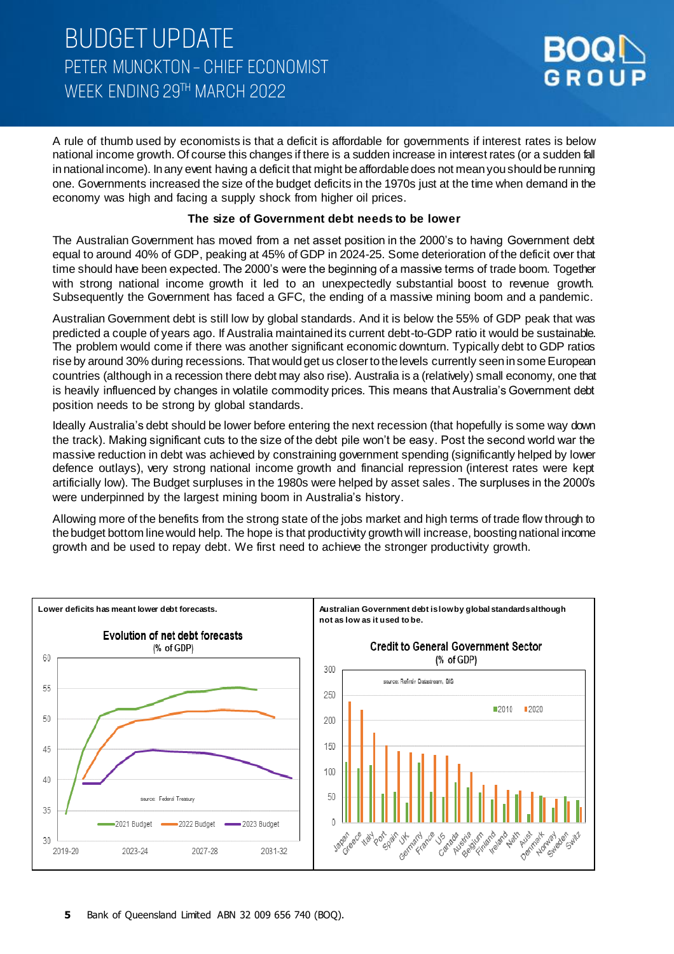

A rule of thumb used by economists is that a deficit is affordable for governments if interest rates is below national income growth. Of course this changes if there is a sudden increase in interest rates (or a sudden fall in national income). In any event having a deficit that might be affordable does not mean you should be running one. Governments increased the size of the budget deficits in the 1970s just at the time when demand in the economy was high and facing a supply shock from higher oil prices.

#### **The size of Government debt needs to be lower**

The Australian Government has moved from a net asset position in the 2000's to having Government debt equal to around 40% of GDP, peaking at 45% of GDP in 2024-25. Some deterioration of the deficit over that time should have been expected. The 2000's were the beginning of a massive terms of trade boom. Together with strong national income growth it led to an unexpectedly substantial boost to revenue growth. Subsequently the Government has faced a GFC, the ending of a massive mining boom and a pandemic.

Australian Government debt is still low by global standards. And it is below the 55% of GDP peak that was predicted a couple of years ago. If Australia maintained its current debt-to-GDP ratio it would be sustainable. The problem would come if there was another significant economic downturn. Typically debt to GDP ratios rise by around 30% during recessions. That would get us closer to the levels currently seen in some European countries (although in a recession there debt may also rise). Australia is a (relatively) small economy, one that is heavily influenced by changes in volatile commodity prices. This means that Australia's Government debt position needs to be strong by global standards.

Ideally Australia's debt should be lower before entering the next recession (that hopefully is some way down the track). Making significant cuts to the size of the debt pile won't be easy. Post the second world war the massive reduction in debt was achieved by constraining government spending (significantly helped by lower defence outlays), very strong national income growth and financial repression (interest rates were kept artificially low). The Budget surpluses in the 1980s were helped by asset sales. The surpluses in the 2000's were underpinned by the largest mining boom in Australia's history.

Allowing more of the benefits from the strong state of the jobs market and high terms of trade flow through to the budget bottom line would help. The hope is that productivity growth will increase, boostingnational income growth and be used to repay debt. We first need to achieve the stronger productivity growth.

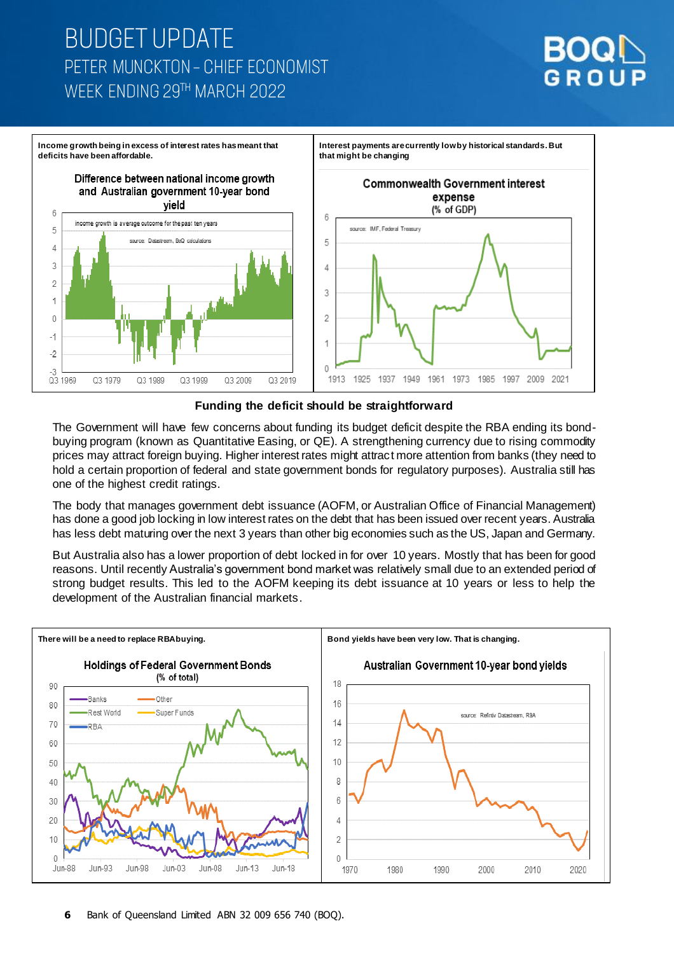

**Income growth being in excess of interest rates has meant that deficits have been affordable.** 

> Difference between national income growth and Australian government 10-year bond



**that might be changing** 

**Interest payments are currently low by historical standards. But** 

**Commonwealth Government interest** 

**Funding the deficit should be straightforward**

The Government will have few concerns about funding its budget deficit despite the RBA ending its bondbuying program (known as Quantitative Easing, or QE). A strengthening currency due to rising commodity prices may attract foreign buying. Higher interest rates might attract more attention from banks (they need to hold a certain proportion of federal and state government bonds for regulatory purposes). Australia still has one of the highest credit ratings.

The body that manages government debt issuance (AOFM, or Australian Office of Financial Management) has done a good job locking in low interest rates on the debt that has been issued over recent years. Australia has less debt maturing over the next 3 years than other big economies such as the US, Japan and Germany.

But Australia also has a lower proportion of debt locked in for over 10 years. Mostly that has been for good reasons. Until recently Australia's government bond market was relatively small due to an extended period of strong budget results. This led to the AOFM keeping its debt issuance at 10 years or less to help the development of the Australian financial markets.

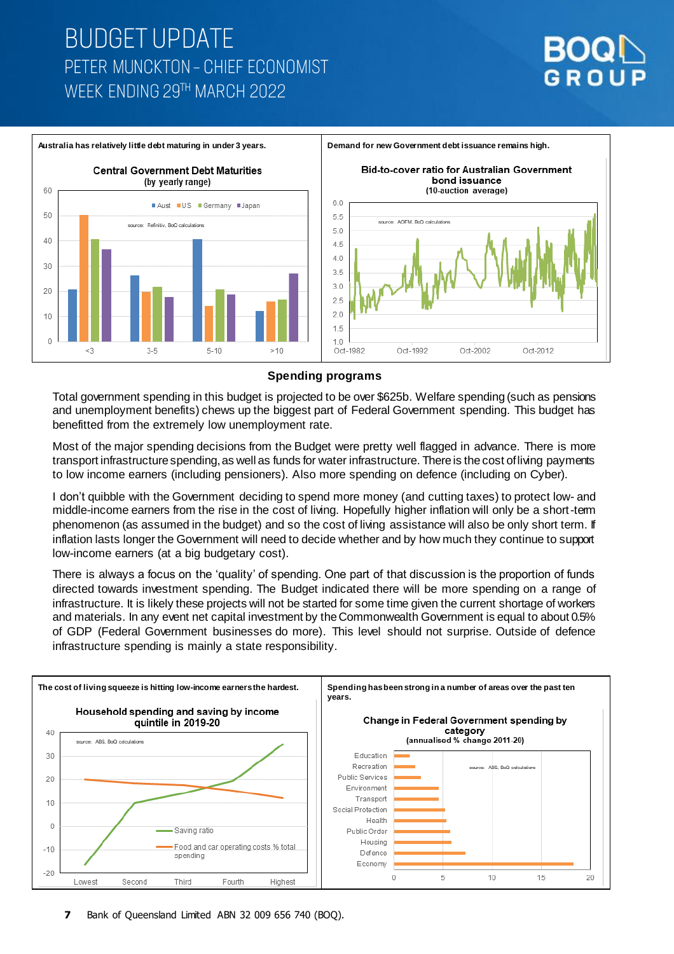

#### **Spending programs**

Total government spending in this budget is projected to be over \$625b. Welfare spending (such as pensions and unemployment benefits) chews up the biggest part of Federal Government spending. This budget has benefitted from the extremely low unemployment rate.

Most of the major spending decisions from the Budget were pretty well flagged in advance. There is more transport infrastructure spending, as well as funds for water infrastructure. There is the cost of living payments to low income earners (including pensioners). Also more spending on defence (including on Cyber).

I don't quibble with the Government deciding to spend more money (and cutting taxes) to protect low- and middle-income earners from the rise in the cost of living. Hopefully higher inflation will only be a short-term phenomenon (as assumed in the budget) and so the cost of living assistance will also be only short term. If inflation lasts longer the Government will need to decide whether and by how much they continue to support low-income earners (at a big budgetary cost).

There is always a focus on the 'quality' of spending. One part of that discussion is the proportion of funds directed towards investment spending. The Budget indicated there will be more spending on a range of infrastructure. It is likely these projects will not be started for some time given the current shortage of workers and materials. In any event net capital investment by the Commonwealth Government is equal to about 0.5% of GDP (Federal Government businesses do more). This level should not surprise. Outside of defence infrastructure spending is mainly a state responsibility.

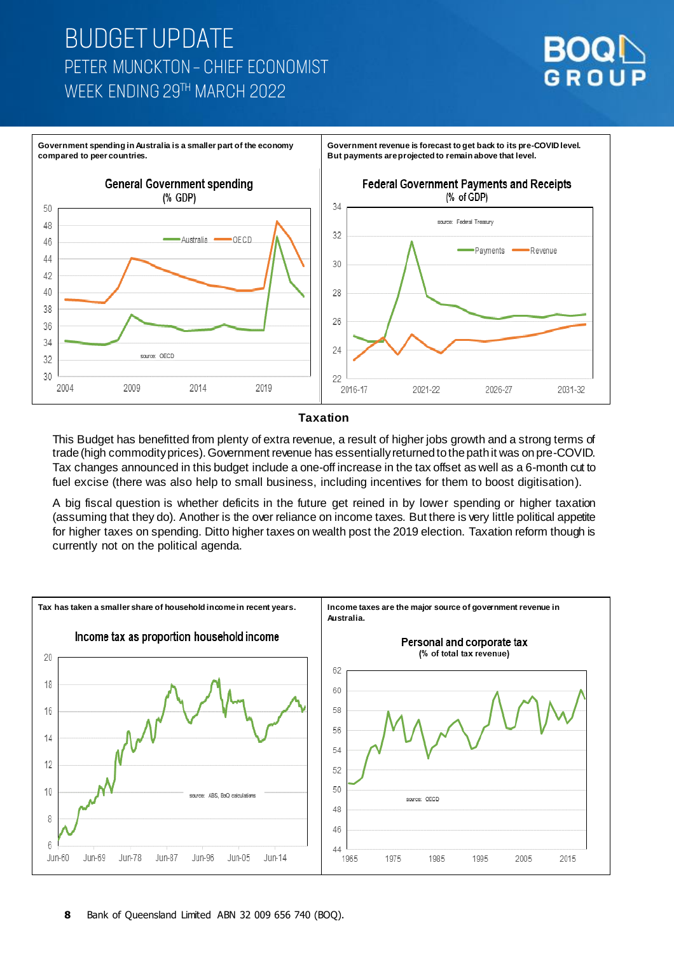

**Government revenue is forecast to get back to its pre-COVID level.** 

**But payments are projected to remain above that level.**

**Government spending in Australia is a smaller part of the economy compared to peer countries.**



#### **Taxation**

This Budget has benefitted from plenty of extra revenue, a result of higher jobs growth and a strong terms of trade (high commodity prices). Government revenue has essentially returned to the path it was on pre-COVID. Tax changes announced in this budget include a one-off increase in the tax offset as well as a 6-month cut to fuel excise (there was also help to small business, including incentives for them to boost digitisation).

A big fiscal question is whether deficits in the future get reined in by lower spending or higher taxation (assuming that they do). Another is the over reliance on income taxes. But there is very little political appetite for higher taxes on spending. Ditto higher taxes on wealth post the 2019 election. Taxation reform though is currently not on the political agenda.